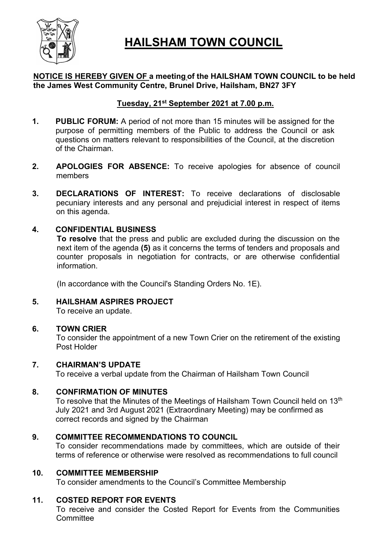

## **HAILSHAM TOWN COUNCIL**

#### NOTICE IS HEREBY GIVEN OF a meeting of the HAILSHAM TOWN COUNCIL to be held the James West Community Centre, Brunel Drive, Hailsham, BN27 3FY

#### Tuesday, 21<sup>st</sup> September 2021 at 7.00 p.m.

- 1. PUBLIC FORUM: A period of not more than 15 minutes will be assigned for the purpose of permitting members of the Public to address the Council or ask questions on matters relevant to responsibilities of the Council, at the discretion of the Chairman.
- 2. APOLOGIES FOR ABSENCE: To receive apologies for absence of council members
- 3. DECLARATIONS OF INTEREST: To receive declarations of disclosable pecuniary interests and any personal and prejudicial interest in respect of items on this agenda.

#### 4. CONFIDENTIAL BUSINESS

To resolve that the press and public are excluded during the discussion on the next item of the agenda (5) as it concerns the terms of tenders and proposals and counter proposals in negotiation for contracts, or are otherwise confidential information.

(In accordance with the Council's Standing Orders No. 1E).

5. HAILSHAM ASPIRES PROJECT To receive an update.

#### 6. TOWN CRIER

To consider the appointment of a new Town Crier on the retirement of the existing Post Holder

#### 7. CHAIRMAN'S UPDATE

To receive a verbal update from the Chairman of Hailsham Town Council

#### 8. CONFIRMATION OF MINUTES

To resolve that the Minutes of the Meetings of Hailsham Town Council held on 13<sup>th</sup> July 2021 and 3rd August 2021 (Extraordinary Meeting) may be confirmed as correct records and signed by the Chairman

#### 9. COMMITTEE RECOMMENDATIONS TO COUNCIL

To consider recommendations made by committees, which are outside of their terms of reference or otherwise were resolved as recommendations to full council

#### 10. COMMITTEE MEMBERSHIP

To consider amendments to the Council's Committee Membership

#### 11. COSTED REPORT FOR EVENTS

To receive and consider the Costed Report for Events from the Communities **Committee**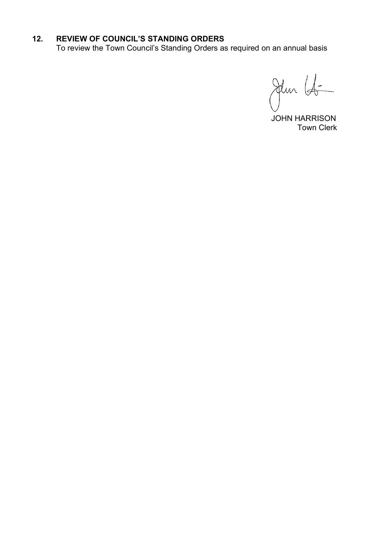#### 12. REVIEW OF COUNCIL'S STANDING ORDERS

To review the Town Council's Standing Orders as required on an annual basis

Jem 16

 JOHN HARRISON Town Clerk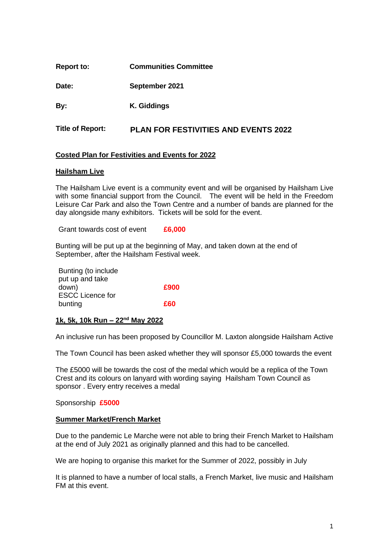| <b>Report to:</b> | <b>Communities Committee</b> |
|-------------------|------------------------------|
|                   |                              |

**Date: September 2021**

**By: K. Giddings** 

**Title of Report: PLAN FOR FESTIVITIES AND EVENTS 2022**

#### **Costed Plan for Festivities and Events for 2022**

#### **Hailsham Live**

The Hailsham Live event is a community event and will be organised by Hailsham Live with some financial support from the Council. The event will be held in the Freedom Leisure Car Park and also the Town Centre and a number of bands are planned for the day alongside many exhibitors. Tickets will be sold for the event.

Grant towards cost of event **£6,000**

Bunting will be put up at the beginning of May, and taken down at the end of September, after the Hailsham Festival week.

Bunting (to include put up and take down) **£900** ESCC Licence for bunting **£60**

#### **1k, 5k, 10k Run – 22nd May 2022**

An inclusive run has been proposed by Councillor M. Laxton alongside Hailsham Active

The Town Council has been asked whether they will sponsor £5,000 towards the event

The £5000 will be towards the cost of the medal which would be a replica of the Town Crest and its colours on lanyard with wording saying Hailsham Town Council as sponsor . Every entry receives a medal

Sponsorship **£5000**

#### **Summer Market/French Market**

Due to the pandemic Le Marche were not able to bring their French Market to Hailsham at the end of July 2021 as originally planned and this had to be cancelled.

We are hoping to organise this market for the Summer of 2022, possibly in July

It is planned to have a number of local stalls, a French Market, live music and Hailsham FM at this event.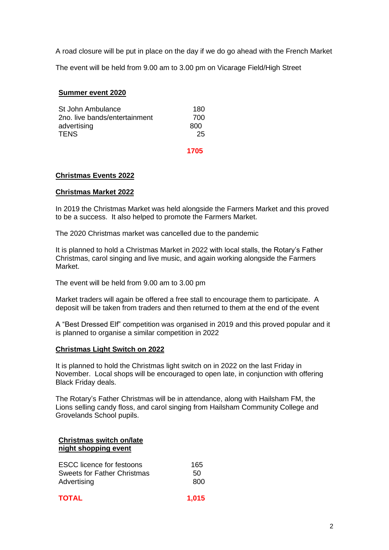A road closure will be put in place on the day if we do go ahead with the French Market

The event will be held from 9.00 am to 3.00 pm on Vicarage Field/High Street

#### **Summer event 2020**

| St John Ambulance             | 180 |
|-------------------------------|-----|
| 2no. live bands/entertainment | 700 |
| advertising                   | 800 |
| <b>TENS</b>                   | 25  |
|                               |     |

 **1705**

#### **Christmas Events 2022**

#### **Christmas Market 2022**

In 2019 the Christmas Market was held alongside the Farmers Market and this proved to be a success. It also helped to promote the Farmers Market.

The 2020 Christmas market was cancelled due to the pandemic

It is planned to hold a Christmas Market in 2022 with local stalls, the Rotary's Father Christmas, carol singing and live music, and again working alongside the Farmers Market.

The event will be held from 9.00 am to 3.00 pm

Market traders will again be offered a free stall to encourage them to participate. A deposit will be taken from traders and then returned to them at the end of the event

A "Best Dressed Elf" competition was organised in 2019 and this proved popular and it is planned to organise a similar competition in 2022

#### **Christmas Light Switch on 2022**

It is planned to hold the Christmas light switch on in 2022 on the last Friday in November. Local shops will be encouraged to open late, in conjunction with offering Black Friday deals.

The Rotary's Father Christmas will be in attendance, along with Hailsham FM, the Lions selling candy floss, and carol singing from Hailsham Community College and Grovelands School pupils.

#### **Christmas switch on/late night shopping event**

| <b>ESCC</b> licence for festoons | 165 |
|----------------------------------|-----|
| Sweets for Father Christmas      | 50. |
| Advertising                      | 800 |

| TOTAL | 1,015 |
|-------|-------|
|       |       |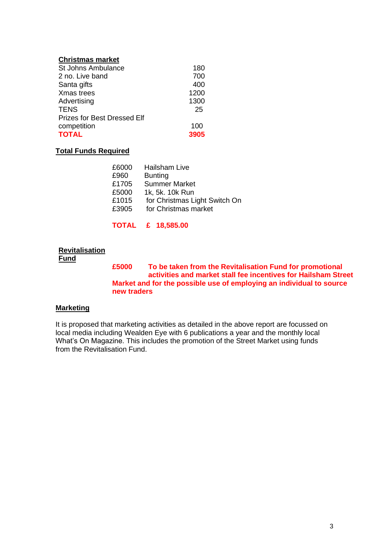#### **Christmas market**

| <b>St Johns Ambulance</b>          | 180  |
|------------------------------------|------|
| 2 no. Live band                    | 700  |
| Santa gifts                        | 400  |
| Xmas trees                         | 1200 |
| Advertising                        | 1300 |
| <b>TENS</b>                        | 25   |
| <b>Prizes for Best Dressed Elf</b> |      |
| competition                        | 100  |
| <b>TOTAL</b>                       | 3905 |

#### **Total Funds Required**

| £6000 | Hailsham Live                 |
|-------|-------------------------------|
| £960  | <b>Bunting</b>                |
| £1705 | <b>Summer Market</b>          |
| £5000 | 1k, 5k. 10k Run               |
| £1015 | for Christmas Light Switch On |
| £3905 | for Christmas market          |
|       |                               |

**TOTAL £ 18,585.00**

#### **Revitalisation Fund**

**£5000 To be taken from the Revitalisation Fund for promotional activities and market stall fee incentives for Hailsham Street Market and for the possible use of employing an individual to source new traders** 

#### **Marketing**

It is proposed that marketing activities as detailed in the above report are focussed on local media including Wealden Eye with 6 publications a year and the monthly local What's On Magazine. This includes the promotion of the Street Market using funds from the Revitalisation Fund.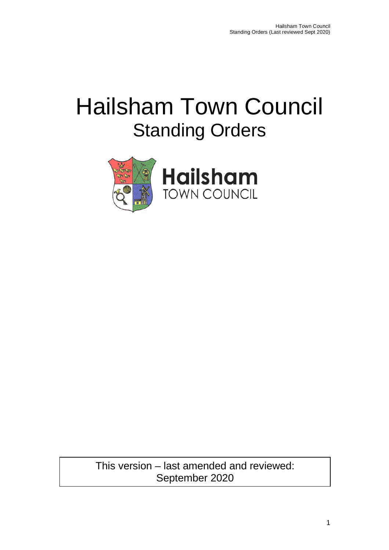# Hailsham Town Council Standing Orders



This version – last amended and reviewed: September 2020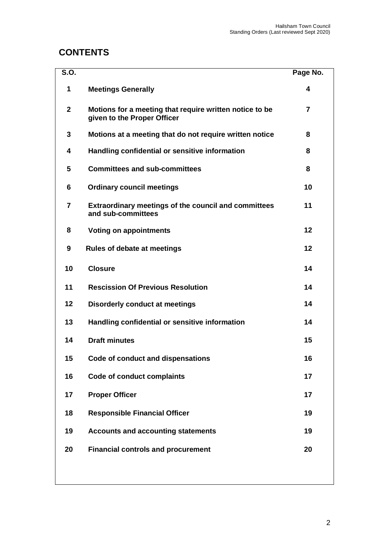## **CONTENTS**

| <b>S.O.</b>  |                                                                                        | Page No.       |
|--------------|----------------------------------------------------------------------------------------|----------------|
| 1            | <b>Meetings Generally</b>                                                              | 4              |
| $\mathbf{2}$ | Motions for a meeting that require written notice to be<br>given to the Proper Officer | $\overline{7}$ |
| 3            | Motions at a meeting that do not require written notice                                | 8              |
| 4            | Handling confidential or sensitive information                                         | 8              |
| 5            | <b>Committees and sub-committees</b>                                                   | 8              |
| 6            | <b>Ordinary council meetings</b>                                                       | 10             |
| 7            | <b>Extraordinary meetings of the council and committees</b><br>and sub-committees      | 11             |
| 8            | <b>Voting on appointments</b>                                                          | 12             |
| 9            | <b>Rules of debate at meetings</b>                                                     | 12             |
| 10           | <b>Closure</b>                                                                         | 14             |
| 11           | <b>Rescission Of Previous Resolution</b>                                               | 14             |
| 12           | <b>Disorderly conduct at meetings</b>                                                  | 14             |
| 13           | Handling confidential or sensitive information                                         | 14             |
| 14           | <b>Draft minutes</b>                                                                   | 15             |
| 15           | Code of conduct and dispensations                                                      | 16             |
| 16           | <b>Code of conduct complaints</b>                                                      | 17             |
| 17           | <b>Proper Officer</b>                                                                  | 17             |
| 18           | <b>Responsible Financial Officer</b>                                                   | 19             |
| 19           | <b>Accounts and accounting statements</b>                                              | 19             |
| 20           | <b>Financial controls and procurement</b>                                              | 20             |
|              |                                                                                        |                |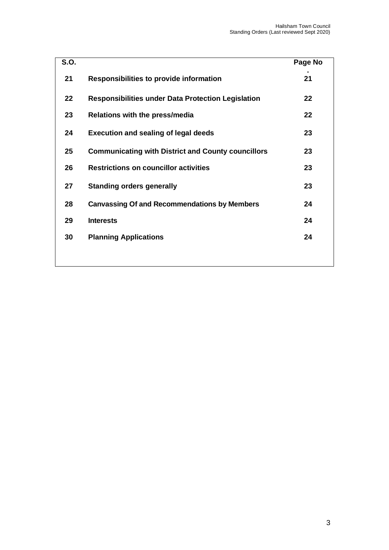| <b>S.O.</b> |                                                           | Page No |
|-------------|-----------------------------------------------------------|---------|
| 21          | <b>Responsibilities to provide information</b>            | 21      |
| $22 \,$     | <b>Responsibilities under Data Protection Legislation</b> | 22      |
| 23          | Relations with the press/media                            | 22      |
| 24          | <b>Execution and sealing of legal deeds</b>               | 23      |
| 25          | <b>Communicating with District and County councillors</b> | 23      |
| 26          | <b>Restrictions on councillor activities</b>              | 23      |
| 27          | <b>Standing orders generally</b>                          | 23      |
| 28          | <b>Canvassing Of and Recommendations by Members</b>       | 24      |
| 29          | <b>Interests</b>                                          | 24      |
| 30          | <b>Planning Applications</b>                              | 24      |
|             |                                                           |         |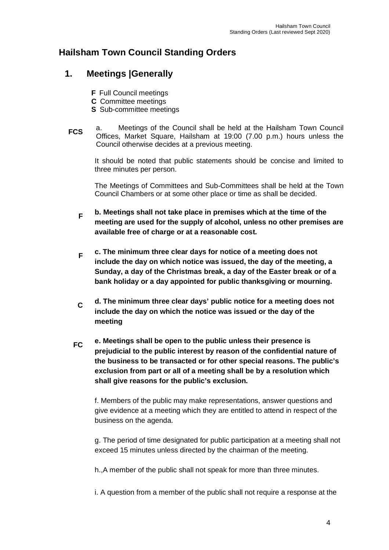## **Hailsham Town Council Standing Orders**

#### **1. Meetings |Generally**

- **F** Full Council meetings
- **C** Committee meetings
- **S** Sub-committee meetings
- **FCS** a. Meetings of the Council shall be held at the Hailsham Town Council Offices, Market Square, Hailsham at 19:00 (7.00 p.m.) hours unless the Council otherwise decides at a previous meeting.

It should be noted that public statements should be concise and limited to three minutes per person.

The Meetings of Committees and Sub-Committees shall be held at the Town Council Chambers or at some other place or time as shall be decided.

- **F b. Meetings shall not take place in premises which at the time of the meeting are used for the supply of alcohol, unless no other premises are available free of charge or at a reasonable cost.**
- **F c. The minimum three clear days for notice of a meeting does not include the day on which notice was issued, the day of the meeting, a Sunday, a day of the Christmas break, a day of the Easter break or of a bank holiday or a day appointed for public thanksgiving or mourning.**
- **C d. The minimum three clear days' public notice for a meeting does not include the day on which the notice was issued or the day of the meeting**
- **FC e. Meetings shall be open to the public unless their presence is prejudicial to the public interest by reason of the confidential nature of the business to be transacted or for other special reasons. The public's exclusion from part or all of a meeting shall be by a resolution which shall give reasons for the public's exclusion.**

f. Members of the public may make representations, answer questions and give evidence at a meeting which they are entitled to attend in respect of the business on the agenda.

g. The period of time designated for public participation at a meeting shall not exceed 15 minutes unless directed by the chairman of the meeting.

h.,A member of the public shall not speak for more than three minutes.

i. A question from a member of the public shall not require a response at the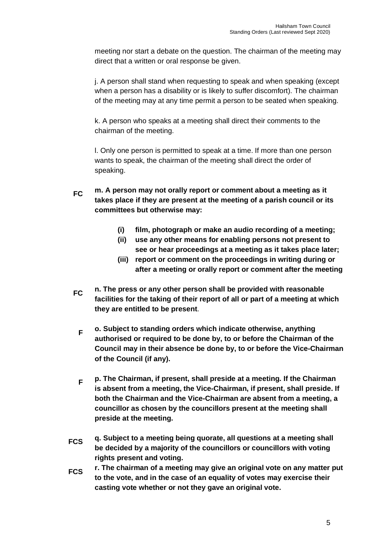meeting nor start a debate on the question. The chairman of the meeting may direct that a written or oral response be given.

j. A person shall stand when requesting to speak and when speaking (except when a person has a disability or is likely to suffer discomfort). The chairman of the meeting may at any time permit a person to be seated when speaking.

k. A person who speaks at a meeting shall direct their comments to the chairman of the meeting.

l. Only one person is permitted to speak at a time. If more than one person wants to speak, the chairman of the meeting shall direct the order of speaking.

- **FC m. A person may not orally report or comment about a meeting as it takes place if they are present at the meeting of a parish council or its committees but otherwise may:**
	- **(i) film, photograph or make an audio recording of a meeting;**
	- **(ii) use any other means for enabling persons not present to see or hear proceedings at a meeting as it takes place later;**
	- **(iii) report or comment on the proceedings in writing during or after a meeting or orally report or comment after the meeting**
- **FC n. The press or any other person shall be provided with reasonable facilities for the taking of their report of all or part of a meeting at which they are entitled to be present**.
	- **F o. Subject to standing orders which indicate otherwise, anything authorised or required to be done by, to or before the Chairman of the Council may in their absence be done by, to or before the Vice-Chairman of the Council (if any).**
	- **F p. The Chairman, if present, shall preside at a meeting. If the Chairman is absent from a meeting, the Vice-Chairman, if present, shall preside. If both the Chairman and the Vice-Chairman are absent from a meeting, a councillor as chosen by the councillors present at the meeting shall preside at the meeting.**
- **FCS q. Subject to a meeting being quorate, all questions at a meeting shall be decided by a majority of the councillors or councillors with voting rights present and voting.**
- **FCS r. The chairman of a meeting may give an original vote on any matter put to the vote, and in the case of an equality of votes may exercise their casting vote whether or not they gave an original vote.**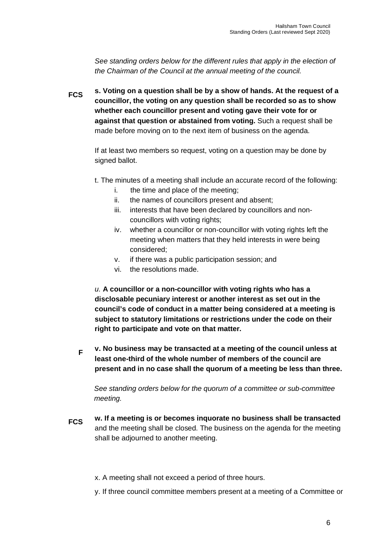*See standing orders below for the different rules that apply in the election of the Chairman of the Council at the annual meeting of the council.*

**FCS s. Voting on a question shall be by a show of hands. At the request of a councillor, the voting on any question shall be recorded so as to show whether each councillor present and voting gave their vote for or against that question or abstained from voting.** Such a request shall be made before moving on to the next item of business on the agenda.

If at least two members so request, voting on a question may be done by signed ballot.

- t. The minutes of a meeting shall include an accurate record of the following:
	- i. the time and place of the meeting;
	- ii. the names of councillors present and absent;
	- iii. interests that have been declared by councillors and noncouncillors with voting rights;
	- iv. whether a councillor or non-councillor with voting rights left the meeting when matters that they held interests in were being considered;
	- v. if there was a public participation session; and
	- vi. the resolutions made.

*u.* **A councillor or a non-councillor with voting rights who has a disclosable pecuniary interest or another interest as set out in the council's code of conduct in a matter being considered at a meeting is subject to statutory limitations or restrictions under the code on their right to participate and vote on that matter.**

**F v. No business may be transacted at a meeting of the council unless at least one-third of the whole number of members of the council are present and in no case shall the quorum of a meeting be less than three.**

*See standing orders below for the quorum of a committee or sub-committee meeting.* 

- **FCS w. If a meeting is or becomes inquorate no business shall be transacted** and the meeting shall be closed. The business on the agenda for the meeting shall be adjourned to another meeting.
	- x. A meeting shall not exceed a period of three hours.
	- y. If three council committee members present at a meeting of a Committee or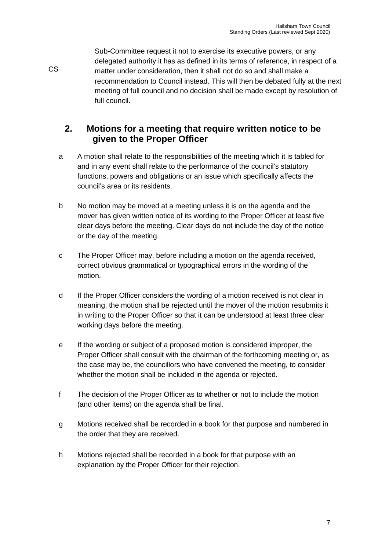Sub-Committee request it not to exercise its executive powers, or any delegated authority it has as defined in its terms of reference, in respect of a matter under consideration, then it shall not do so and shall make a recommendation to Council instead. This will then be debated fully at the next meeting of full council and no decision shall be made except by resolution of full council.

## **2. Motions for a meeting that require written notice to be given to the Proper Officer**

CS

- a A motion shall relate to the responsibilities of the meeting which it is tabled for and in any event shall relate to the performance of the council's statutory functions, powers and obligations or an issue which specifically affects the council's area or its residents.
- b No motion may be moved at a meeting unless it is on the agenda and the mover has given written notice of its wording to the Proper Officer at least five clear days before the meeting. Clear days do not include the day of the notice or the day of the meeting.
- c The Proper Officer may, before including a motion on the agenda received, correct obvious grammatical or typographical errors in the wording of the motion.
- d If the Proper Officer considers the wording of a motion received is not clear in meaning, the motion shall be rejected until the mover of the motion resubmits it in writing to the Proper Officer so that it can be understood at least three clear working days before the meeting.
- e If the wording or subject of a proposed motion is considered improper, the Proper Officer shall consult with the chairman of the forthcoming meeting or, as the case may be, the councillors who have convened the meeting, to consider whether the motion shall be included in the agenda or rejected.
- f The decision of the Proper Officer as to whether or not to include the motion (and other items) on the agenda shall be final.
- g Motions received shall be recorded in a book for that purpose and numbered in the order that they are received.
- h Motions rejected shall be recorded in a book for that purpose with an explanation by the Proper Officer for their rejection.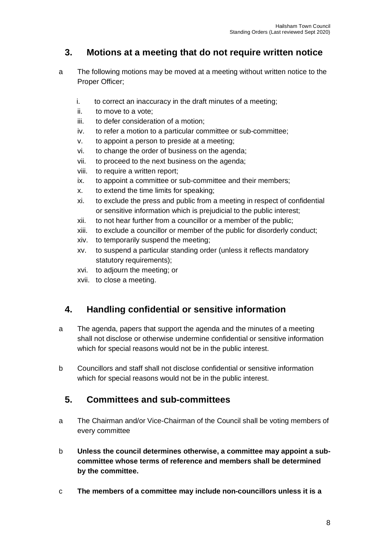## **3. Motions at a meeting that do not require written notice**

- a The following motions may be moved at a meeting without written notice to the Proper Officer;
	- i. to correct an inaccuracy in the draft minutes of a meeting;
	- ii. to move to a vote;
	- iii. to defer consideration of a motion;
	- iv. to refer a motion to a particular committee or sub-committee;
	- v. to appoint a person to preside at a meeting;
	- vi. to change the order of business on the agenda;
	- vii. to proceed to the next business on the agenda;
	- viii. to require a written report;
	- ix. to appoint a committee or sub-committee and their members;
	- x. to extend the time limits for speaking;
	- xi. to exclude the press and public from a meeting in respect of confidential or sensitive information which is prejudicial to the public interest;
	- xii. to not hear further from a councillor or a member of the public;
	- xiii. to exclude a councillor or member of the public for disorderly conduct;
	- xiv. to temporarily suspend the meeting;
	- xv. to suspend a particular standing order (unless it reflects mandatory statutory requirements);
	- xvi. to adjourn the meeting; or
	- xvii. to close a meeting.

## **4. Handling confidential or sensitive information**

- a The agenda, papers that support the agenda and the minutes of a meeting shall not disclose or otherwise undermine confidential or sensitive information which for special reasons would not be in the public interest.
- b Councillors and staff shall not disclose confidential or sensitive information which for special reasons would not be in the public interest.

## **5. Committees and sub-committees**

- a The Chairman and/or Vice-Chairman of the Council shall be voting members of every committee
- b **Unless the council determines otherwise, a committee may appoint a subcommittee whose terms of reference and members shall be determined by the committee.**
- c **The members of a committee may include non-councillors unless it is a**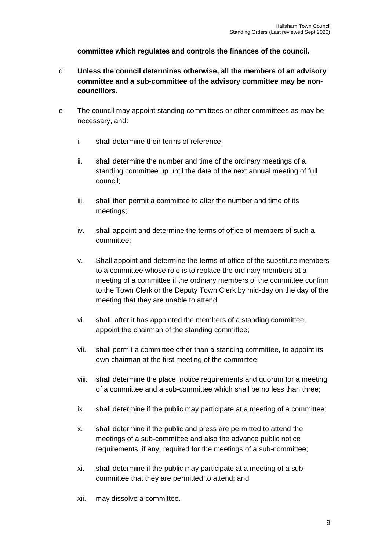**committee which regulates and controls the finances of the council.**

- d **Unless the council determines otherwise, all the members of an advisory committee and a sub-committee of the advisory committee may be noncouncillors.**
- e The council may appoint standing committees or other committees as may be necessary, and:
	- i. shall determine their terms of reference;
	- ii. shall determine the number and time of the ordinary meetings of a standing committee up until the date of the next annual meeting of full council;
	- iii. shall then permit a committee to alter the number and time of its meetings;
	- iv. shall appoint and determine the terms of office of members of such a committee;
	- v. Shall appoint and determine the terms of office of the substitute members to a committee whose role is to replace the ordinary members at a meeting of a committee if the ordinary members of the committee confirm to the Town Clerk or the Deputy Town Clerk by mid-day on the day of the meeting that they are unable to attend
	- vi. shall, after it has appointed the members of a standing committee, appoint the chairman of the standing committee;
	- vii. shall permit a committee other than a standing committee, to appoint its own chairman at the first meeting of the committee;
	- viii. shall determine the place, notice requirements and quorum for a meeting of a committee and a sub-committee which shall be no less than three;
	- ix. shall determine if the public may participate at a meeting of a committee;
	- x. shall determine if the public and press are permitted to attend the meetings of a sub-committee and also the advance public notice requirements, if any, required for the meetings of a sub-committee;
	- xi. shall determine if the public may participate at a meeting of a subcommittee that they are permitted to attend; and
	- xii. may dissolve a committee.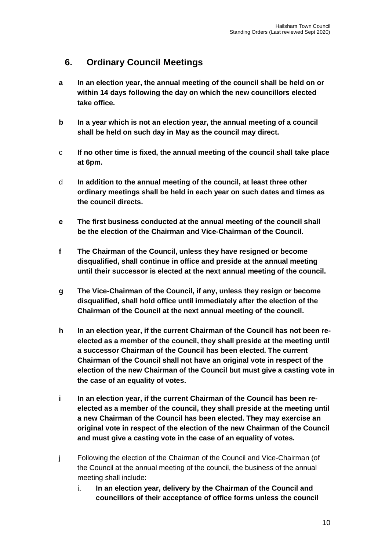## **6. Ordinary Council Meetings**

- **a In an election year, the annual meeting of the council shall be held on or within 14 days following the day on which the new councillors elected take office.**
- **b In a year which is not an election year, the annual meeting of a council shall be held on such day in May as the council may direct.**
- c **If no other time is fixed, the annual meeting of the council shall take place at 6pm.**
- d **In addition to the annual meeting of the council, at least three other ordinary meetings shall be held in each year on such dates and times as the council directs.**
- **e The first business conducted at the annual meeting of the council shall be the election of the Chairman and Vice-Chairman of the Council.**
- **f The Chairman of the Council, unless they have resigned or become disqualified, shall continue in office and preside at the annual meeting until their successor is elected at the next annual meeting of the council.**
- **g The Vice-Chairman of the Council, if any, unless they resign or become disqualified, shall hold office until immediately after the election of the Chairman of the Council at the next annual meeting of the council.**
- **h In an election year, if the current Chairman of the Council has not been reelected as a member of the council, they shall preside at the meeting until a successor Chairman of the Council has been elected. The current Chairman of the Council shall not have an original vote in respect of the election of the new Chairman of the Council but must give a casting vote in the case of an equality of votes.**
- **i In an election year, if the current Chairman of the Council has been reelected as a member of the council, they shall preside at the meeting until a new Chairman of the Council has been elected. They may exercise an original vote in respect of the election of the new Chairman of the Council and must give a casting vote in the case of an equality of votes.**
- j Following the election of the Chairman of the Council and Vice-Chairman (of the Council at the annual meeting of the council, the business of the annual meeting shall include:
	- i. **In an election year, delivery by the Chairman of the Council and councillors of their acceptance of office forms unless the council**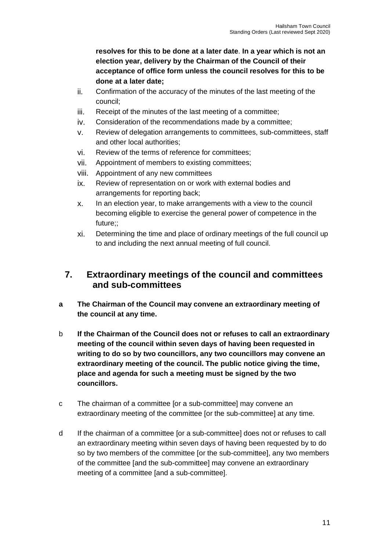**resolves for this to be done at a later date**. **In a year which is not an election year, delivery by the Chairman of the Council of their acceptance of office form unless the council resolves for this to be done at a later date;**

- ii. Confirmation of the accuracy of the minutes of the last meeting of the council;
- iii. Receipt of the minutes of the last meeting of a committee;
- iv. Consideration of the recommendations made by a committee;
- v. Review of delegation arrangements to committees, sub-committees, staff and other local authorities;
- vi. Review of the terms of reference for committees;
- vii. Appointment of members to existing committees;
- viii. Appointment of any new committees
- ix. Review of representation on or work with external bodies and arrangements for reporting back;
- x. In an election year, to make arrangements with a view to the council becoming eligible to exercise the general power of competence in the future;;
- xi. Determining the time and place of ordinary meetings of the full council up to and including the next annual meeting of full council.

#### **7. Extraordinary meetings of the council and committees and sub-committees**

- **a The Chairman of the Council may convene an extraordinary meeting of the council at any time.**
- b **If the Chairman of the Council does not or refuses to call an extraordinary meeting of the council within seven days of having been requested in writing to do so by two councillors, any two councillors may convene an extraordinary meeting of the council. The public notice giving the time, place and agenda for such a meeting must be signed by the two councillors.**
- c The chairman of a committee [or a sub-committee] may convene an extraordinary meeting of the committee [or the sub-committee] at any time.
- d If the chairman of a committee [or a sub-committee] does not or refuses to call an extraordinary meeting within seven days of having been requested by to do so by two members of the committee [or the sub-committee], any two members of the committee [and the sub-committee] may convene an extraordinary meeting of a committee [and a sub-committee].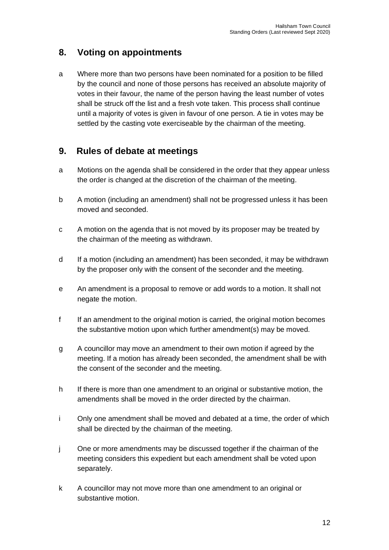## **8. Voting on appointments**

a Where more than two persons have been nominated for a position to be filled by the council and none of those persons has received an absolute majority of votes in their favour, the name of the person having the least number of votes shall be struck off the list and a fresh vote taken. This process shall continue until a majority of votes is given in favour of one person. A tie in votes may be settled by the casting vote exerciseable by the chairman of the meeting.

#### **9. Rules of debate at meetings**

- a Motions on the agenda shall be considered in the order that they appear unless the order is changed at the discretion of the chairman of the meeting.
- b A motion (including an amendment) shall not be progressed unless it has been moved and seconded.
- c A motion on the agenda that is not moved by its proposer may be treated by the chairman of the meeting as withdrawn.
- d If a motion (including an amendment) has been seconded, it may be withdrawn by the proposer only with the consent of the seconder and the meeting.
- e An amendment is a proposal to remove or add words to a motion. It shall not negate the motion.
- f If an amendment to the original motion is carried, the original motion becomes the substantive motion upon which further amendment(s) may be moved.
- g A councillor may move an amendment to their own motion if agreed by the meeting. If a motion has already been seconded, the amendment shall be with the consent of the seconder and the meeting.
- h If there is more than one amendment to an original or substantive motion, the amendments shall be moved in the order directed by the chairman.
- i Only one amendment shall be moved and debated at a time, the order of which shall be directed by the chairman of the meeting.
- j One or more amendments may be discussed together if the chairman of the meeting considers this expedient but each amendment shall be voted upon separately.
- k A councillor may not move more than one amendment to an original or substantive motion.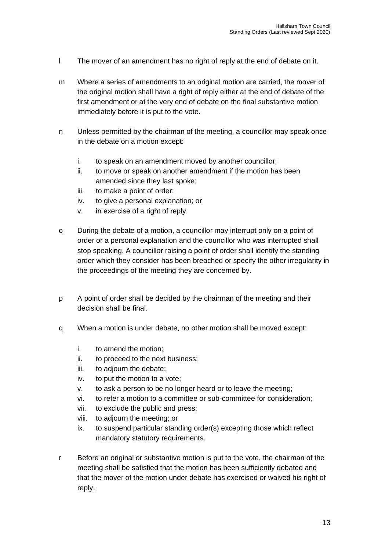- l The mover of an amendment has no right of reply at the end of debate on it.
- m Where a series of amendments to an original motion are carried, the mover of the original motion shall have a right of reply either at the end of debate of the first amendment or at the very end of debate on the final substantive motion immediately before it is put to the vote.
- n Unless permitted by the chairman of the meeting, a councillor may speak once in the debate on a motion except:
	- i. to speak on an amendment moved by another councillor;
	- ii. to move or speak on another amendment if the motion has been amended since they last spoke;
	- iii. to make a point of order;
	- iv. to give a personal explanation; or
	- v. in exercise of a right of reply.
- o During the debate of a motion, a councillor may interrupt only on a point of order or a personal explanation and the councillor who was interrupted shall stop speaking. A councillor raising a point of order shall identify the standing order which they consider has been breached or specify the other irregularity in the proceedings of the meeting they are concerned by.
- p A point of order shall be decided by the chairman of the meeting and their decision shall be final.
- q When a motion is under debate, no other motion shall be moved except:
	- i. to amend the motion;
	- ii. to proceed to the next business;
	- iii. to adjourn the debate;
	- iv. to put the motion to a vote;
	- v. to ask a person to be no longer heard or to leave the meeting;
	- vi. to refer a motion to a committee or sub-committee for consideration;
	- vii. to exclude the public and press;
	- viii. to adjourn the meeting; or
	- ix. to suspend particular standing order(s) excepting those which reflect mandatory statutory requirements.
- r Before an original or substantive motion is put to the vote, the chairman of the meeting shall be satisfied that the motion has been sufficiently debated and that the mover of the motion under debate has exercised or waived his right of reply.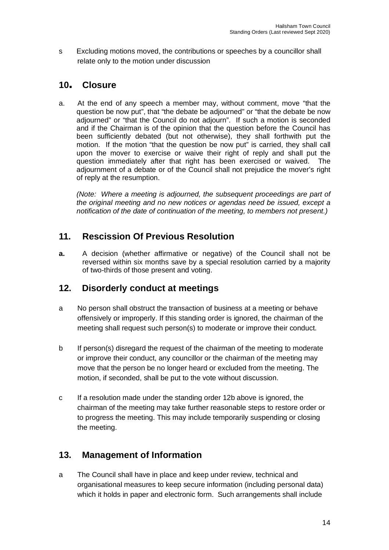s Excluding motions moved, the contributions or speeches by a councillor shall relate only to the motion under discussion

## **<sup>10</sup>. Closure**

a. At the end of any speech a member may, without comment, move "that the question be now put", that "the debate be adjourned" or "that the debate be now adjourned" or "that the Council do not adjourn". If such a motion is seconded and if the Chairman is of the opinion that the question before the Council has been sufficiently debated (but not otherwise), they shall forthwith put the motion. If the motion "that the question be now put" is carried, they shall call upon the mover to exercise or waive their right of reply and shall put the question immediately after that right has been exercised or waived. The adjournment of a debate or of the Council shall not prejudice the mover's right of reply at the resumption.

*(Note: Where a meeting is adjourned, the subsequent proceedings are part of the original meeting and no new notices or agendas need be issued, except a notification of the date of continuation of the meeting, to members not present.)*

## **11. Rescission Of Previous Resolution**

**a.** A decision (whether affirmative or negative) of the Council shall not be reversed within six months save by a special resolution carried by a majority of two-thirds of those present and voting.

## **12. Disorderly conduct at meetings**

- a No person shall obstruct the transaction of business at a meeting or behave offensively or improperly. If this standing order is ignored, the chairman of the meeting shall request such person(s) to moderate or improve their conduct.
- b If person(s) disregard the request of the chairman of the meeting to moderate or improve their conduct, any councillor or the chairman of the meeting may move that the person be no longer heard or excluded from the meeting. The motion, if seconded, shall be put to the vote without discussion.
- c If a resolution made under the standing order 12b above is ignored, the chairman of the meeting may take further reasonable steps to restore order or to progress the meeting. This may include temporarily suspending or closing the meeting.

## **13. Management of Information**

a The Council shall have in place and keep under review, technical and organisational measures to keep secure information (including personal data) which it holds in paper and electronic form. Such arrangements shall include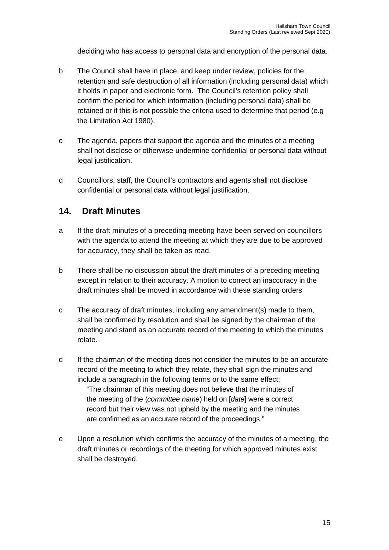deciding who has access to personal data and encryption of the personal data.

- b The Council shall have in place, and keep under review, policies for the retention and safe destruction of all information (including personal data) which it holds in paper and electronic form. The Council's retention policy shall confirm the period for which information (including personal data) shall be retained or if this is not possible the criteria used to determine that period (e.g the Limitation Act 1980).
- c The agenda, papers that support the agenda and the minutes of a meeting shall not disclose or otherwise undermine confidential or personal data without legal justification.
- d Councillors, staff, the Council's contractors and agents shall not disclose confidential or personal data without legal justification.

#### **14. Draft Minutes**

- a If the draft minutes of a preceding meeting have been served on councillors with the agenda to attend the meeting at which they are due to be approved for accuracy, they shall be taken as read.
- b There shall be no discussion about the draft minutes of a preceding meeting except in relation to their accuracy. A motion to correct an inaccuracy in the draft minutes shall be moved in accordance with these standing orders
- c The accuracy of draft minutes, including any amendment(s) made to them, shall be confirmed by resolution and shall be signed by the chairman of the meeting and stand as an accurate record of the meeting to which the minutes relate.
- d If the chairman of the meeting does not consider the minutes to be an accurate record of the meeting to which they relate, they shall sign the minutes and include a paragraph in the following terms or to the same effect: "The chairman of this meeting does not believe that the minutes of the meeting of the (*committee name*) held on [*date*] were a correct record but their view was not upheld by the meeting and the minutes are confirmed as an accurate record of the proceedings."
- e Upon a resolution which confirms the accuracy of the minutes of a meeting, the draft minutes or recordings of the meeting for which approved minutes exist shall be destroyed.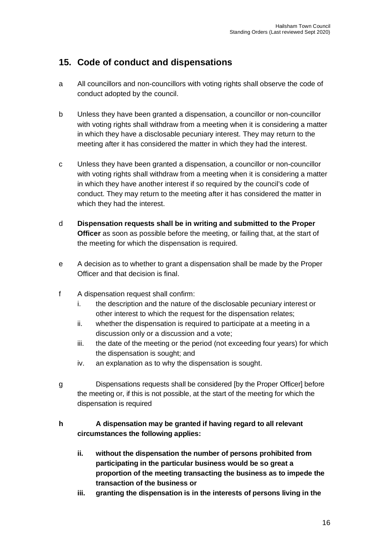## **15. Code of conduct and dispensations**

- a All councillors and non-councillors with voting rights shall observe the code of conduct adopted by the council.
- b Unless they have been granted a dispensation, a councillor or non-councillor with voting rights shall withdraw from a meeting when it is considering a matter in which they have a disclosable pecuniary interest. They may return to the meeting after it has considered the matter in which they had the interest.
- c Unless they have been granted a dispensation, a councillor or non-councillor with voting rights shall withdraw from a meeting when it is considering a matter in which they have another interest if so required by the council's code of conduct. They may return to the meeting after it has considered the matter in which they had the interest.
- d **Dispensation requests shall be in writing and submitted to the Proper Officer** as soon as possible before the meeting, or failing that, at the start of the meeting for which the dispensation is required.
- e A decision as to whether to grant a dispensation shall be made by the Proper Officer and that decision is final.
- f A dispensation request shall confirm:
	- i. the description and the nature of the disclosable pecuniary interest or other interest to which the request for the dispensation relates;
	- ii. whether the dispensation is required to participate at a meeting in a discussion only or a discussion and a vote;
	- iii. the date of the meeting or the period (not exceeding four years) for which the dispensation is sought; and
	- iv. an explanation as to why the dispensation is sought.
- g Dispensations requests shall be considered [by the Proper Officer] before the meeting or, if this is not possible, at the start of the meeting for which the dispensation is required

#### **h A dispensation may be granted if having regard to all relevant circumstances the following applies:**

- **ii. without the dispensation the number of persons prohibited from participating in the particular business would be so great a proportion of the meeting transacting the business as to impede the transaction of the business or**
- **iii. granting the dispensation is in the interests of persons living in the**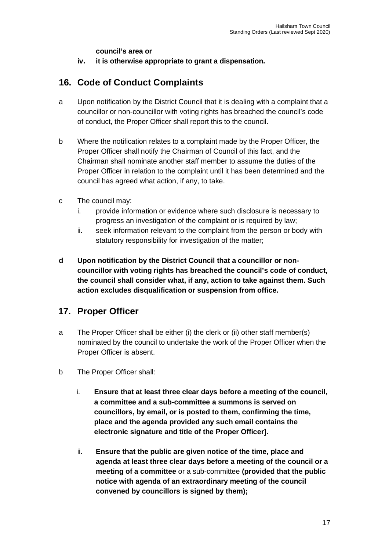**council's area or**

**iv. it is otherwise appropriate to grant a dispensation.**

## **16. Code of Conduct Complaints**

- a Upon notification by the District Council that it is dealing with a complaint that a councillor or non-councillor with voting rights has breached the council's code of conduct, the Proper Officer shall report this to the council.
- b Where the notification relates to a complaint made by the Proper Officer, the Proper Officer shall notify the Chairman of Council of this fact, and the Chairman shall nominate another staff member to assume the duties of the Proper Officer in relation to the complaint until it has been determined and the council has agreed what action, if any, to take.
- c The council may:
	- i. provide information or evidence where such disclosure is necessary to progress an investigation of the complaint or is required by law;
	- ii. seek information relevant to the complaint from the person or body with statutory responsibility for investigation of the matter;
- **d Upon notification by the District Council that a councillor or noncouncillor with voting rights has breached the council's code of conduct, the council shall consider what, if any, action to take against them. Such action excludes disqualification or suspension from office.**

#### **17. Proper Officer**

- a The Proper Officer shall be either (i) the clerk or (ii) other staff member(s) nominated by the council to undertake the work of the Proper Officer when the Proper Officer is absent.
- b The Proper Officer shall:
	- i. **Ensure that at least three clear days before a meeting of the council, a committee and a sub-committee a summons is served on councillors, by email, or is posted to them, confirming the time, place and the agenda provided any such email contains the electronic signature and title of the Proper Officer].**
	- ii. **Ensure that the public are given notice of the time, place and agenda at least three clear days before a meeting of the council or a meeting of a committee** or a sub-committee **(provided that the public notice with agenda of an extraordinary meeting of the council convened by councillors is signed by them);**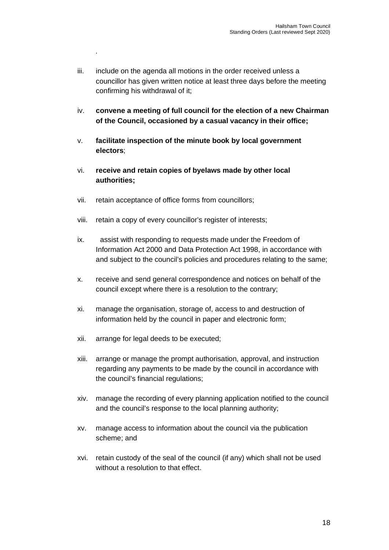- iii. include on the agenda all motions in the order received unless a councillor has given written notice at least three days before the meeting confirming his withdrawal of it;
- iv. **convene a meeting of full council for the election of a new Chairman of the Council, occasioned by a casual vacancy in their office;**
- v. **facilitate inspection of the minute book by local government electors**;
- vi. **receive and retain copies of byelaws made by other local authorities;**
- vii. retain acceptance of office forms from councillors;

*.*

- viii. retain a copy of every councillor's register of interests;
- ix. assist with responding to requests made under the Freedom of Information Act 2000 and Data Protection Act 1998, in accordance with and subject to the council's policies and procedures relating to the same;
- x. receive and send general correspondence and notices on behalf of the council except where there is a resolution to the contrary;
- xi. manage the organisation, storage of, access to and destruction of information held by the council in paper and electronic form;
- xii. arrange for legal deeds to be executed;
- xiii. arrange or manage the prompt authorisation, approval, and instruction regarding any payments to be made by the council in accordance with the council's financial regulations;
- xiv. manage the recording of every planning application notified to the council and the council's response to the local planning authority;
- xv. manage access to information about the council via the publication scheme; and
- xvi. retain custody of the seal of the council (if any) which shall not be used without a resolution to that effect.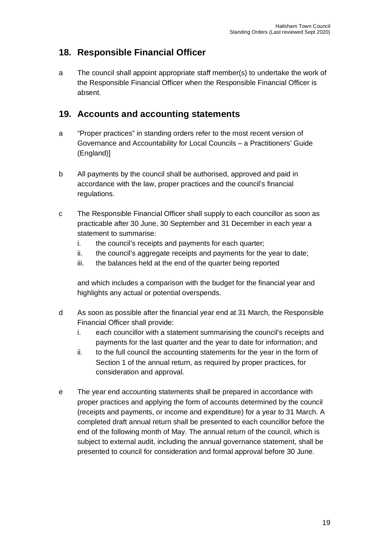## **18. Responsible Financial Officer**

a The council shall appoint appropriate staff member(s) to undertake the work of the Responsible Financial Officer when the Responsible Financial Officer is absent.

## **19. Accounts and accounting statements**

- a "Proper practices" in standing orders refer to the most recent version of Governance and Accountability for Local Councils – a Practitioners' Guide (England)]
- b All payments by the council shall be authorised, approved and paid in accordance with the law, proper practices and the council's financial regulations.
- c The Responsible Financial Officer shall supply to each councillor as soon as practicable after 30 June, 30 September and 31 December in each year a statement to summarise:
	- i. the council's receipts and payments for each quarter;
	- ii. the council's aggregate receipts and payments for the year to date;
	- iii. the balances held at the end of the quarter being reported

and which includes a comparison with the budget for the financial year and highlights any actual or potential overspends.

- d As soon as possible after the financial year end at 31 March, the Responsible Financial Officer shall provide:
	- i. each councillor with a statement summarising the council's receipts and payments for the last quarter and the year to date for information; and
	- ii. to the full council the accounting statements for the year in the form of Section 1 of the annual return, as required by proper practices, for consideration and approval.
- e The year end accounting statements shall be prepared in accordance with proper practices and applying the form of accounts determined by the council (receipts and payments, or income and expenditure) for a year to 31 March. A completed draft annual return shall be presented to each councillor before the end of the following month of May. The annual return of the council, which is subject to external audit, including the annual governance statement, shall be presented to council for consideration and formal approval before 30 June.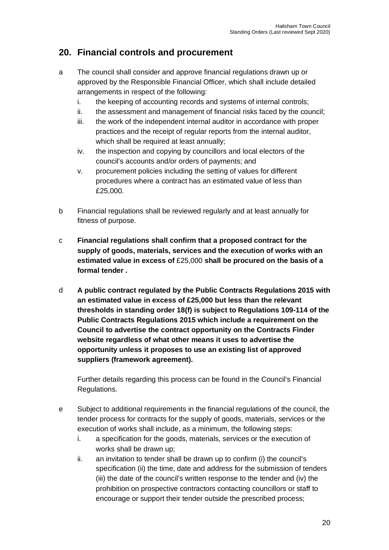## **20. Financial controls and procurement**

- a The council shall consider and approve financial regulations drawn up or approved by the Responsible Financial Officer, which shall include detailed arrangements in respect of the following:
	- i. the keeping of accounting records and systems of internal controls;
	- ii. the assessment and management of financial risks faced by the council;
	- iii. the work of the independent internal auditor in accordance with proper practices and the receipt of regular reports from the internal auditor, which shall be required at least annually;
	- iv. the inspection and copying by councillors and local electors of the council's accounts and/or orders of payments; and
	- v. procurement policies including the setting of values for different procedures where a contract has an estimated value of less than £25,000.
- b Financial regulations shall be reviewed regularly and at least annually for fitness of purpose.
- c **Financial regulations shall confirm that a proposed contract for the supply of goods, materials, services and the execution of works with an estimated value in excess of** £25,000 **shall be procured on the basis of a formal tender .**
- d **A public contract regulated by the Public Contracts Regulations 2015 with an estimated value in excess of £25,000 but less than the relevant thresholds in standing order 18(f) is subject to Regulations 109-114 of the Public Contracts Regulations 2015 which include a requirement on the Council to advertise the contract opportunity on the Contracts Finder website regardless of what other means it uses to advertise the opportunity unless it proposes to use an existing list of approved suppliers (framework agreement).**

Further details regarding this process can be found in the Council's Financial Regulations.

- e Subject to additional requirements in the financial regulations of the council, the tender process for contracts for the supply of goods, materials, services or the execution of works shall include, as a minimum, the following steps:
	- i. a specification for the goods, materials, services or the execution of works shall be drawn up;
	- ii. an invitation to tender shall be drawn up to confirm (i) the council's specification (ii) the time, date and address for the submission of tenders (iii) the date of the council's written response to the tender and (iv) the prohibition on prospective contractors contacting councillors or staff to encourage or support their tender outside the prescribed process;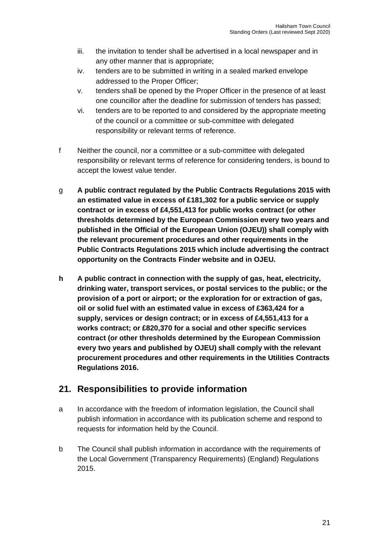- iii. the invitation to tender shall be advertised in a local newspaper and in any other manner that is appropriate;
- iv. tenders are to be submitted in writing in a sealed marked envelope addressed to the Proper Officer;
- v. tenders shall be opened by the Proper Officer in the presence of at least one councillor after the deadline for submission of tenders has passed;
- vi. tenders are to be reported to and considered by the appropriate meeting of the council or a committee or sub-committee with delegated responsibility or relevant terms of reference.
- f Neither the council, nor a committee or a sub-committee with delegated responsibility or relevant terms of reference for considering tenders, is bound to accept the lowest value tender.
- g **A public contract regulated by the Public Contracts Regulations 2015 with an estimated value in excess of £181,302 for a public service or supply contract or in excess of £4,551,413 for public works contract (or other thresholds determined by the European Commission every two years and published in the Official of the European Union (OJEU)) shall comply with the relevant procurement procedures and other requirements in the Public Contracts Regulations 2015 which include advertising the contract opportunity on the Contracts Finder website and in OJEU.**
- **h A public contract in connection with the supply of gas, heat, electricity, drinking water, transport services, or postal services to the public; or the provision of a port or airport; or the exploration for or extraction of gas, oil or solid fuel with an estimated value in excess of £363,424 for a supply, services or design contract; or in excess of £4,551,413 for a works contract; or £820,370 for a social and other specific services contract (or other thresholds determined by the European Commission every two years and published by OJEU) shall comply with the relevant procurement procedures and other requirements in the Utilities Contracts Regulations 2016.**

## **21. Responsibilities to provide information**

- a In accordance with the freedom of information legislation, the Council shall publish information in accordance with its publication scheme and respond to requests for information held by the Council.
- b The Council shall publish information in accordance with the requirements of the Local Government (Transparency Requirements) (England) Regulations 2015.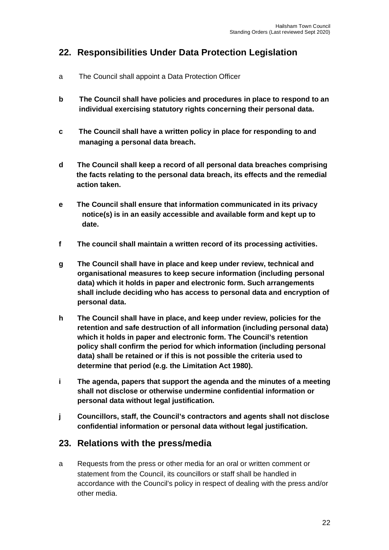## **22. Responsibilities Under Data Protection Legislation**

- a The Council shall appoint a Data Protection Officer
- **b The Council shall have policies and procedures in place to respond to an individual exercising statutory rights concerning their personal data.**
- **c The Council shall have a written policy in place for responding to and managing a personal data breach.**
- **d The Council shall keep a record of all personal data breaches comprising the facts relating to the personal data breach, its effects and the remedial action taken.**
- **e The Council shall ensure that information communicated in its privacy notice(s) is in an easily accessible and available form and kept up to date.**
- **f The council shall maintain a written record of its processing activities.**
- **g The Council shall have in place and keep under review, technical and organisational measures to keep secure information (including personal data) which it holds in paper and electronic form. Such arrangements shall include deciding who has access to personal data and encryption of personal data.**
- **h The Council shall have in place, and keep under review, policies for the retention and safe destruction of all information (including personal data) which it holds in paper and electronic form. The Council's retention policy shall confirm the period for which information (including personal data) shall be retained or if this is not possible the criteria used to determine that period (e.g. the Limitation Act 1980).**
- **i The agenda, papers that support the agenda and the minutes of a meeting shall not disclose or otherwise undermine confidential information or personal data without legal justification.**
- **j Councillors, staff, the Council's contractors and agents shall not disclose confidential information or personal data without legal justification.**

## **23. Relations with the press/media**

a Requests from the press or other media for an oral or written comment or statement from the Council, its councillors or staff shall be handled in accordance with the Council's policy in respect of dealing with the press and/or other media.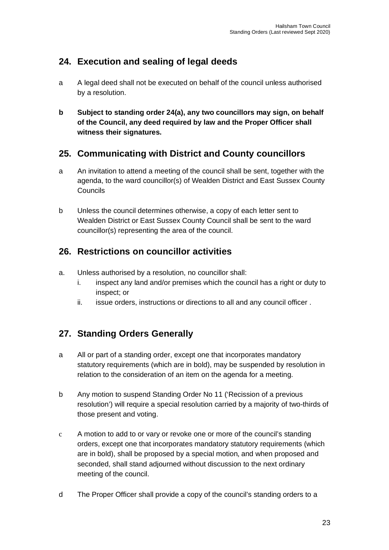## **24. Execution and sealing of legal deeds**

- a A legal deed shall not be executed on behalf of the council unless authorised by a resolution.
- **b Subject to standing order 24(a), any two councillors may sign, on behalf of the Council, any deed required by law and the Proper Officer shall witness their signatures.**

## **25. Communicating with District and County councillors**

- a An invitation to attend a meeting of the council shall be sent, together with the agenda, to the ward councillor(s) of Wealden District and East Sussex County Councils
- b Unless the council determines otherwise, a copy of each letter sent to Wealden District or East Sussex County Council shall be sent to the ward councillor(s) representing the area of the council.

## **26. Restrictions on councillor activities**

- a. Unless authorised by a resolution, no councillor shall:
	- i. inspect any land and/or premises which the council has a right or duty to inspect; or
	- ii. issue orders, instructions or directions to all and any council officer.

## **27. Standing Orders Generally**

- a All or part of a standing order, except one that incorporates mandatory statutory requirements (which are in bold), may be suspended by resolution in relation to the consideration of an item on the agenda for a meeting.
- b Any motion to suspend Standing Order No 11 ('Recission of a previous resolution') will require a special resolution carried by a majority of two-thirds of those present and voting.
- c A motion to add to or vary or revoke one or more of the council's standing orders, except one that incorporates mandatory statutory requirements (which are in bold), shall be proposed by a special motion, and when proposed and seconded, shall stand adjourned without discussion to the next ordinary meeting of the council.
- d The Proper Officer shall provide a copy of the council's standing orders to a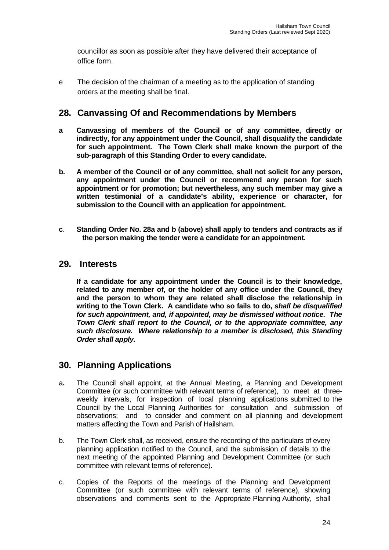councillor as soon as possible after they have delivered their acceptance of office form.

e The decision of the chairman of a meeting as to the application of standing orders at the meeting shall be final.

#### **28. Canvassing Of and Recommendations by Members**

- **a Canvassing of members of the Council or of any committee, directly or indirectly, for any appointment under the Council, shall disqualify the candidate for such appointment. The Town Clerk shall make known the purport of the sub-paragraph of this Standing Order to every candidate.**
- **b. A member of the Council or of any committee, shall not solicit for any person, any appointment under the Council or recommend any person for such appointment or for promotion; but nevertheless, any such member may give a written testimonial of a candidate's ability, experience or character, for submission to the Council with an application for appointment.**
- **c**. **Standing Order No. 28a and b (above) shall apply to tenders and contracts as if the person making the tender were a candidate for an appointment.**

#### **29. Interests**

**If a candidate for any appointment under the Council is to their knowledge, related to any member of, or the holder of any office under the Council, they and the person to whom they are related shall disclose the relationship in writing to the Town Clerk. A candidate who so fails to do,** *shall be disqualified for such appointment, and, if appointed, may be dismissed without notice. The Town Clerk shall report to the Council, or to the appropriate committee, any such disclosure. Where relationship to a member is disclosed, this Standing Order shall apply.*

#### **30. Planning Applications**

- a**.** The Council shall appoint, at the Annual Meeting, a Planning and Development Committee (or such committee with relevant terms of reference), to meet at threeweekly intervals, for inspection of local planning applications submitted to the Council by the Local Planning Authorities for consultation and submission of observations; and to consider and comment on all planning and development matters affecting the Town and Parish of Hailsham.
- b. The Town Clerk shall, as received, ensure the recording of the particulars of every planning application notified to the Council, and the submission of details to the next meeting of the appointed Planning and Development Committee (or such committee with relevant terms of reference).
- c. Copies of the Reports of the meetings of the Planning and Development Committee (or such committee with relevant terms of reference), showing observations and comments sent to the Appropriate Planning Authority, shall